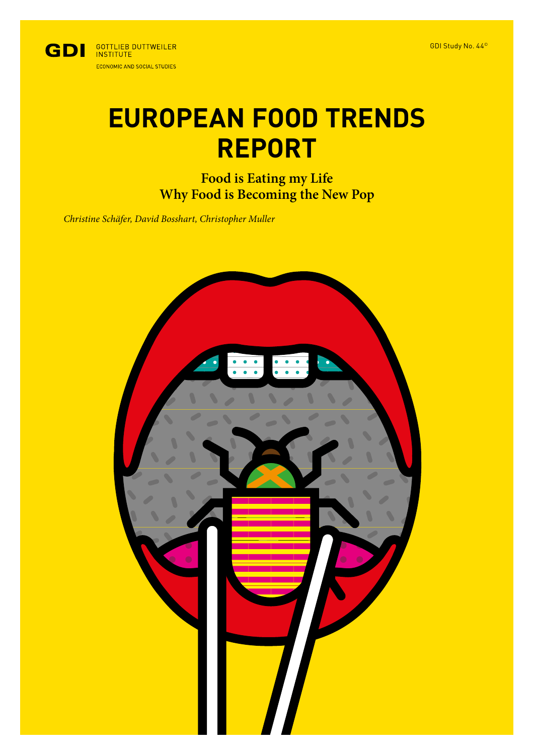

# **EUROPEAN FOOD TRENDS REPORT**

**Food is Eating my Life Why Food is Becoming the New Pop**

*Christine Schäfer, David Bosshart, Christopher Muller*

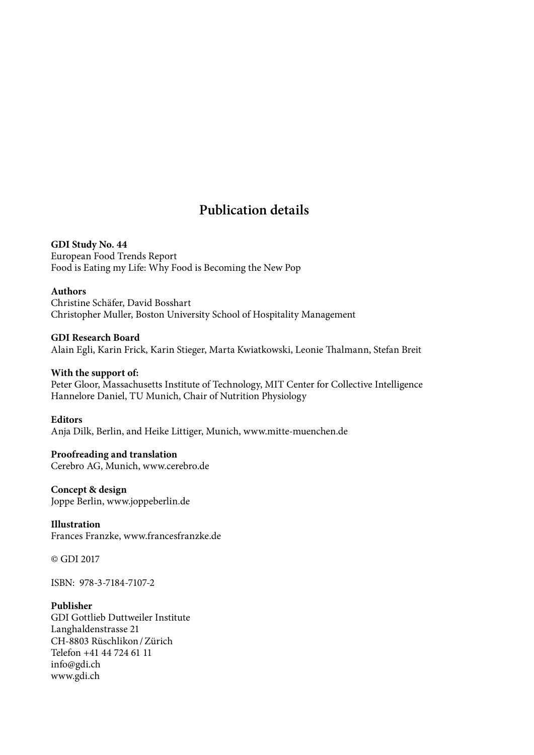### **Publication details**

**GDI Study No. 44** European Food Trends Report Food is Eating my Life: Why Food is Becoming the New Pop

### **Authors**

Christine Schäfer, David Bosshart Christopher Muller, Boston University School of Hospitality Management

**GDI Research Board** Alain Egli, Karin Frick, Karin Stieger, Marta Kwiatkowski, Leonie Talmann, Stefan Breit

### **With the support of:**

Peter Gloor, Massachusetts Institute of Technology, MIT Center for Collective Intelligence Hannelore Daniel, TU Munich, Chair of Nutrition Physiology

#### **Editors**

Anja Dilk, Berlin, and Heike Littiger, Munich, www.mitte-muenchen.de

### **Proofreading and translation** Cerebro AG, Munich, www.cerebro.de

**Concept & design** Joppe Berlin, www.joppeberlin.de

### **Illustration** Frances Franzke, www.francesfranzke.de

© GDI 2017

ISBN: 978-3-7184-7107-2

### **Publisher**

GDI Gottlieb Duttweiler Institute Langhaldenstrasse 21 CH-8803 Rüschlikon/Zürich Telefon +41 44 724 61 11 info@gdi.ch www.gdi.ch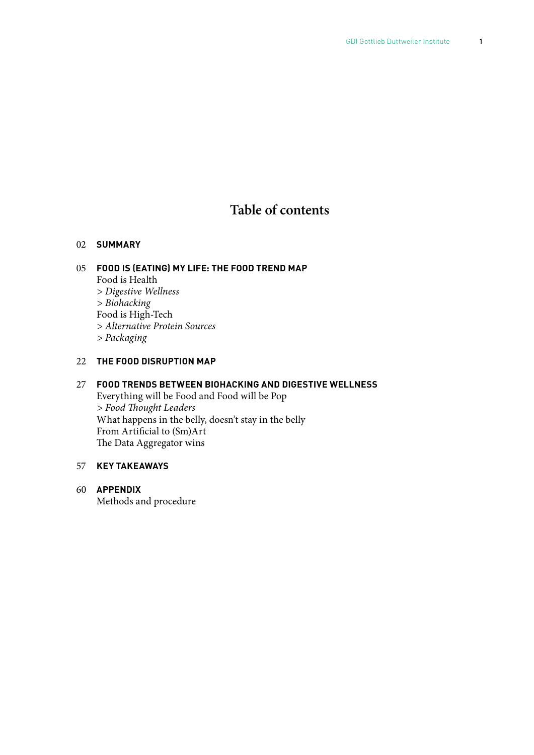### **Table of contents**

#### 02 **SUMMARY**

### 05 **FOOD IS (EATING) MY LIFE: THE FOOD TREND MAP** Food is Health *> Digestive Wellness > Biohacking* Food is High-Tech

*> Alternative Protein Sources*

*> Packaging*

### 22 **THE FOOD DISRUPTION MAP**

### 27 **FOOD TRENDS BETWEEN BIOHACKING AND DIGESTIVE WELLNESS** Everything will be Food and Food will be Pop *> Food* T*ought Leaders* What happens in the belly, doesn't stay in the belly From Artifcial to (Sm)Art The Data Aggregator wins

### 57 **KEY TAKEAWAYS**

60 **APPENDIX** Methods and procedure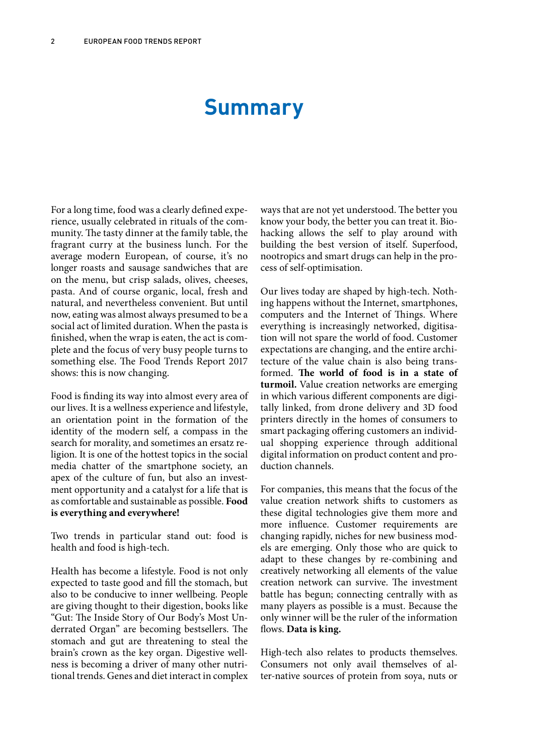## **Summary**

For a long time, food was a clearly defned experience, usually celebrated in rituals of the community. The tasty dinner at the family table, the fragrant curry at the business lunch. For the average modern European, of course, it's no longer roasts and sausage sandwiches that are on the menu, but crisp salads, olives, cheeses, pasta. And of course organic, local, fresh and natural, and nevertheless convenient. But until now, eating was almost always presumed to be a social act of limited duration. When the pasta is fnished, when the wrap is eaten, the act is complete and the focus of very busy people turns to something else. The Food Trends Report 2017 shows: this is now changing.

Food is fnding its way into almost every area of our lives. It is a wellness experience and lifestyle, an orientation point in the formation of the identity of the modern self, a compass in the search for morality, and sometimes an ersatz religion. It is one of the hottest topics in the social media chatter of the smartphone society, an apex of the culture of fun, but also an investment opportunity and a catalyst for a life that is as comfortable and sustainable as possible. **Food is everything and everywhere!**

Two trends in particular stand out: food is health and food is high-tech.

Health has become a lifestyle. Food is not only expected to taste good and fll the stomach, but also to be conducive to inner wellbeing. People are giving thought to their digestion, books like "Gut: The Inside Story of Our Body's Most Underrated Organ" are becoming bestsellers. The stomach and gut are threatening to steal the brain's crown as the key organ. Digestive wellness is becoming a driver of many other nutritional trends. Genes and diet interact in complex

ways that are not yet understood. The better you know your body, the better you can treat it. Biohacking allows the self to play around with building the best version of itself. Superfood, nootropics and smart drugs can help in the process of self-optimisation.

Our lives today are shaped by high-tech. Nothing happens without the Internet, smartphones, computers and the Internet of Things. Where everything is increasingly networked, digitisation will not spare the world of food. Customer expectations are changing, and the entire architecture of the value chain is also being transformed. **Te world of food is in a state of turmoil.** Value creation networks are emerging in which various diferent components are digitally linked, from drone delivery and 3D food printers directly in the homes of consumers to smart packaging offering customers an individual shopping experience through additional digital information on product content and production channels.

For companies, this means that the focus of the value creation network shifs to customers as these digital technologies give them more and more infuence. Customer requirements are changing rapidly, niches for new business models are emerging. Only those who are quick to adapt to these changes by re-combining and creatively networking all elements of the value creation network can survive. The investment battle has begun; connecting centrally with as many players as possible is a must. Because the only winner will be the ruler of the information flows. Data is king.

High-tech also relates to products themselves. Consumers not only avail themselves of alter-native sources of protein from soya, nuts or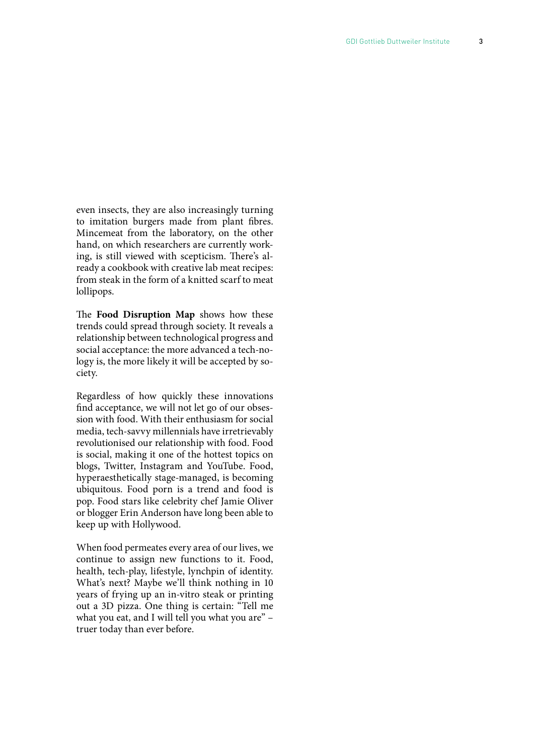even insects, they are also increasingly turning to imitation burgers made from plant fbres. Mincemeat from the laboratory, on the other hand, on which researchers are currently working, is still viewed with scepticism. There's already a cookbook with creative lab meat recipes: from steak in the form of a knitted scarf to meat lollipops.

The Food Disruption Map shows how these trends could spread through society. It reveals a relationship between technological progress and social acceptance: the more advanced a tech-nology is, the more likely it will be accepted by society.

Regardless of how quickly these innovations fnd acceptance, we will not let go of our obsession with food. With their enthusiasm for social media, tech-savvy millennials have irretrievably revolutionised our relationship with food. Food is social, making it one of the hottest topics on blogs, Twitter, Instagram and YouTube. Food, hyperaesthetically stage-managed, is becoming ubiquitous. Food porn is a trend and food is pop. Food stars like celebrity chef Jamie Oliver or blogger Erin Anderson have long been able to keep up with Hollywood.

When food permeates every area of our lives, we continue to assign new functions to it. Food, health, tech-play, lifestyle, lynchpin of identity. What's next? Maybe we'll think nothing in 10 years of frying up an in-vitro steak or printing out a 3D pizza. One thing is certain: "Tell me what you eat, and I will tell you what you are" – truer today than ever before.